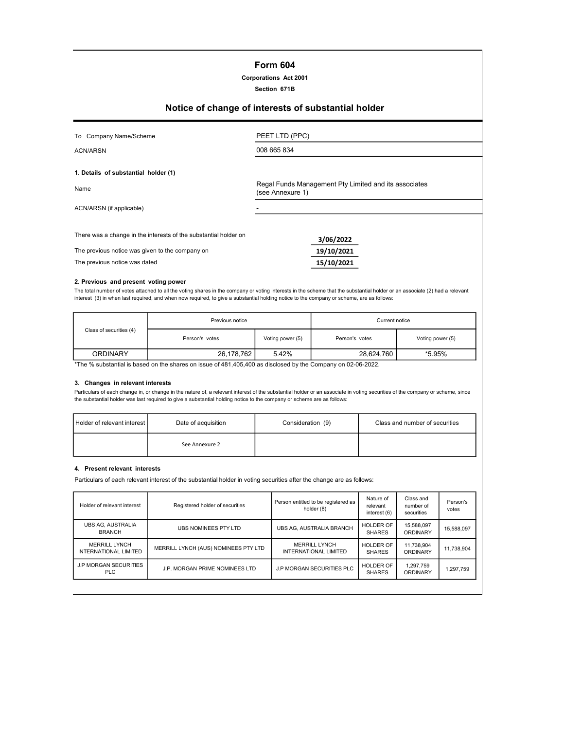# Form 604

# Corporations Act 2001

#### Section 671B

# Notice of change of interests of substantial holder

| To Company Name/Scheme                                                                                                                               | PEET LTD (PPC)                                                            |  |  |  |
|------------------------------------------------------------------------------------------------------------------------------------------------------|---------------------------------------------------------------------------|--|--|--|
| ACN/ARSN                                                                                                                                             | 008 665 834                                                               |  |  |  |
| 1. Details of substantial holder (1)                                                                                                                 |                                                                           |  |  |  |
| Name                                                                                                                                                 | Regal Funds Management Pty Limited and its associates<br>(see Annexure 1) |  |  |  |
| ACN/ARSN (if applicable)                                                                                                                             |                                                                           |  |  |  |
| There was a change in the interests of the substantial holder on<br>The previous notice was given to the company on<br>The previous notice was dated | 3/06/2022<br>19/10/2021<br>15/10/2021                                     |  |  |  |

#### 2. Previous and present voting power

The total number of votes attached to all the voting shares in the company or voting interests in the scheme that the substantial holder or an associate (2) had a relevant interest (3) in when last required, and when now required, to give a substantial holding notice to the company or scheme, are as follows:

|                         | Previous notice |                  | Current notice |                  |  |
|-------------------------|-----------------|------------------|----------------|------------------|--|
| Class of securities (4) | Person's votes  | Voting power (5) | Person's votes | Voting power (5) |  |
| <b>ORDINARY</b>         | 26.178.762      | 5.42%            | 28.624.760     | *5.95%           |  |

The % substantial is based on the shares on issue of 481,405,400 as disclosed by the Company on 02-06-2022.

#### 3. Changes in relevant interests

Particulars of each change in, or change in the nature of, a relevant interest of the substantial holder or an associate in voting securities of the company or scheme, since the substantial holder was last required to give a substantial holding notice to the company or scheme are as follows:

| Holder of relevant interest I | Date of acquisition | Consideration (9) | Class and number of securities |
|-------------------------------|---------------------|-------------------|--------------------------------|
| See Annexure 2                |                     |                   |                                |

#### 4. Present relevant interests

Particulars of each relevant interest of the substantial holder in voting securities after the change are as follows:

| Holder of relevant interest                                            | Registered holder of securities      | Person entitled to be registered as<br>holder (8) | Nature of<br>relevant<br>interest (6) | Class and<br>number of<br>securities | Person's<br>votes |
|------------------------------------------------------------------------|--------------------------------------|---------------------------------------------------|---------------------------------------|--------------------------------------|-------------------|
| <b>UBS AG. AUSTRALIA</b><br><b>BRANCH</b>                              | UBS NOMINEES PTY LTD                 | UBS AG. AUSTRALIA BRANCH                          | HOLDER OF<br><b>SHARES</b>            | 15,588,097<br>ORDINARY               | 15,588,097        |
| <b>MERRILL LYNCH</b><br><b>INTERNATIONAL LIMITED</b>                   | MERRILL LYNCH (AUS) NOMINEES PTY LTD | <b>MERRILL LYNCH</b><br>INTERNATIONAL LIMITED     | HOLDER OF<br><b>SHARES</b>            | 11,738,904<br>ORDINARY               | 11.738.904        |
| <b>J.P MORGAN SECURITIES</b><br>J.P. MORGAN PRIME NOMINEES LTD<br>PLC. |                                      | <b>J.P MORGAN SECURITIES PLC</b>                  | <b>HOLDER OF</b><br><b>SHARES</b>     | 1,297,759<br>ORDINARY                | 1,297,759         |
|                                                                        |                                      |                                                   |                                       |                                      |                   |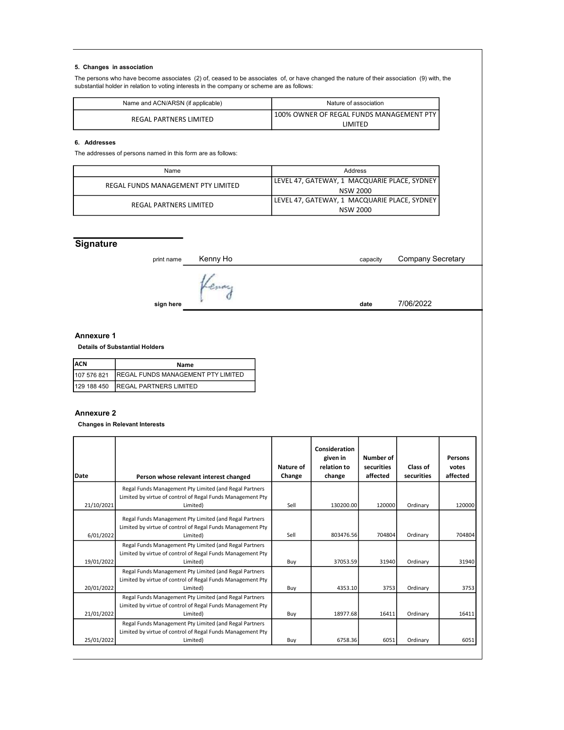## 5. Changes in association

The persons who have become associates (2) of, ceased to be associates of, or have changed the nature of their association (9) with, the substantial holder in relation to voting interests in the company or scheme are as follows:

| Name and ACN/ARSN (if applicable) | Nature of association                      |  |  |
|-----------------------------------|--------------------------------------------|--|--|
| REGAL PARTNERS LIMITED            | 100% OWNER OF REGAL FUNDS MANAGEMENT PTY I |  |  |
|                                   | <b>IMITED</b>                              |  |  |

# 6. Addresses

The addresses of persons named in this form are as follows:

| Name                               | Address                                      |  |  |
|------------------------------------|----------------------------------------------|--|--|
| REGAL FUNDS MANAGEMENT PTY LIMITED | LEVEL 47, GATEWAY, 1 MACQUARIE PLACE, SYDNEY |  |  |
|                                    | NSW 2000                                     |  |  |
| REGAL PARTNERS LIMITED             | LEVEL 47, GATEWAY, 1 MACQUARIE PLACE, SYDNEY |  |  |
|                                    | NSW 2000                                     |  |  |

# **Signature**

| 7/06/2022 |
|-----------|
|           |

### Annexure 1

Details of Substantial Holders

| <b>IACN</b><br>Name |                                                |  |
|---------------------|------------------------------------------------|--|
|                     | 107 576 821 REGAL FUNDS MANAGEMENT PTY LIMITED |  |
|                     | 129 188 450 REGAL PARTNERS LIMITED             |  |

#### Annexure 2

Changes in Relevant Interests

| l Date     | Person whose relevant interest changed                                                                                           | Nature of<br>Change | Consideration<br>given in<br>relation to<br>change | Number of<br>securities<br>affected | Class of<br>securities | Persons<br>votes<br>affected |
|------------|----------------------------------------------------------------------------------------------------------------------------------|---------------------|----------------------------------------------------|-------------------------------------|------------------------|------------------------------|
|            | Regal Funds Management Pty Limited (and Regal Partners<br>Limited by virtue of control of Regal Funds Management Pty             |                     |                                                    |                                     |                        |                              |
| 21/10/2021 | Limited)                                                                                                                         | Sell                | 130200.00                                          | 120000                              | Ordinary               | 120000                       |
| 6/01/2022  | Regal Funds Management Pty Limited (and Regal Partners<br>Limited by virtue of control of Regal Funds Management Pty<br>Limited) | Sell                | 803476.56                                          | 704804                              | Ordinary               | 704804                       |
| 19/01/2022 | Regal Funds Management Pty Limited (and Regal Partners<br>Limited by virtue of control of Regal Funds Management Pty<br>Limited) | Buy                 | 37053.59                                           | 31940                               | Ordinary               | 31940                        |
| 20/01/2022 | Regal Funds Management Pty Limited (and Regal Partners<br>Limited by virtue of control of Regal Funds Management Pty<br>Limited) | Buy                 | 4353.10                                            | 3753                                | Ordinary               | 3753                         |
| 21/01/2022 | Regal Funds Management Pty Limited (and Regal Partners<br>Limited by virtue of control of Regal Funds Management Pty<br>Limited) | Buy                 | 18977.68                                           | 16411                               | Ordinary               | 16411                        |
|            | Regal Funds Management Pty Limited (and Regal Partners<br>Limited by virtue of control of Regal Funds Management Pty             |                     |                                                    |                                     |                        |                              |
| 25/01/2022 | Limited)                                                                                                                         | Buy                 | 6758.36                                            | 6051                                | Ordinary               | 6051                         |